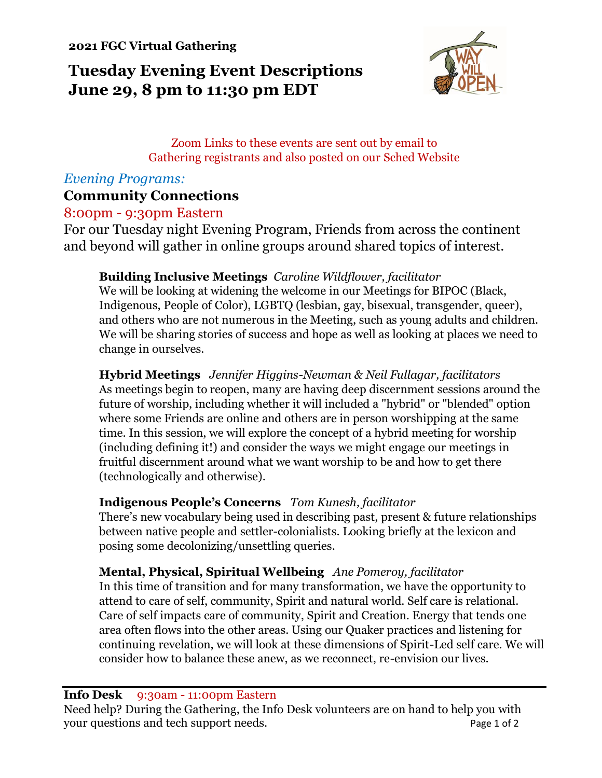**2021 FGC Virtual Gathering**

# **Tuesday Evening Event Descriptions June 29, 8 pm to 11:30 pm EDT**



## Zoom Links to these events are sent out by email to Gathering registrants and also posted on our Sched Website

# *Evening Programs:*

# **Community Connections**

## 8:00pm - 9:30pm Eastern

For our Tuesday night Evening Program, Friends from across the continent and beyond will gather in online groups around shared topics of interest.

## **Building Inclusive Meetings** *Caroline Wildflower, facilitator*

We will be looking at widening the welcome in our Meetings for BIPOC (Black, Indigenous, People of Color), LGBTQ (lesbian, gay, bisexual, transgender, queer), and others who are not numerous in the Meeting, such as young adults and children. We will be sharing stories of success and hope as well as looking at places we need to change in ourselves.

**Hybrid Meetings** *Jennifer Higgins-Newman & Neil Fullagar, facilitators* As meetings begin to reopen, many are having deep discernment sessions around the future of worship, including whether it will included a "hybrid" or "blended" option where some Friends are online and others are in person worshipping at the same time. In this session, we will explore the concept of a hybrid meeting for worship (including defining it!) and consider the ways we might engage our meetings in fruitful discernment around what we want worship to be and how to get there (technologically and otherwise).

### **Indigenous People's Concerns** *Tom Kunesh, facilitator*

There's new vocabulary being used in describing past, present & future relationships between native people and settler-colonialists. Looking briefly at the lexicon and posing some decolonizing/unsettling queries.

## **Mental, Physical, Spiritual Wellbeing** *Ane Pomeroy, facilitator*

In this time of transition and for many transformation, we have the opportunity to attend to care of self, community, Spirit and natural world. Self care is relational. Care of self impacts care of community, Spirit and Creation. Energy that tends one area often flows into the other areas. Using our Quaker practices and listening for continuing revelation, we will look at these dimensions of Spirit-Led self care. We will consider how to balance these anew, as we reconnect, re-envision our lives.

**Info Desk** 9:30am - 11:00pm Eastern

Need help? During the Gathering, the Info Desk volunteers are on hand to help you with your questions and tech support needs. Page 1 of 2